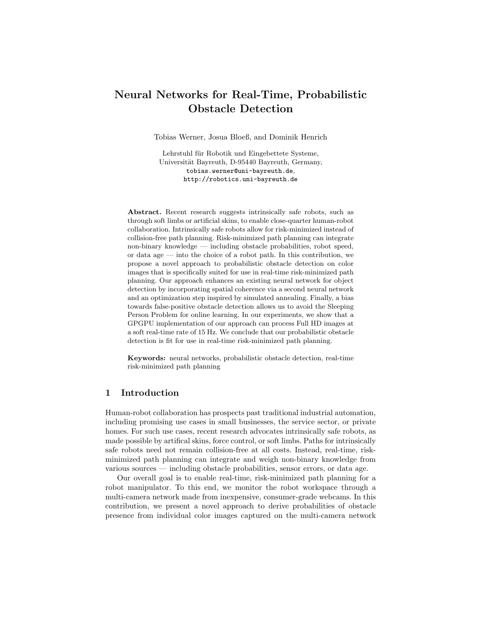# Neural Networks for Real-Time, Probabilistic Obstacle Detection

Tobias Werner, Josua Bloeß, and Dominik Henrich

Lehrstuhl für Robotik und Eingebettete Systeme, Universität Bayreuth, D-95440 Bayreuth, Germany, tobias.werner@uni-bayreuth.de, http://robotics.uni-bayreuth.de

Abstract. Recent research suggests intrinsically safe robots, such as through soft limbs or artificial skins, to enable close-quarter human-robot collaboration. Intrinsically safe robots allow for risk-minimized instead of collision-free path planning. Risk-minimized path planning can integrate non-binary knowledge — including obstacle probabilities, robot speed, or data age — into the choice of a robot path. In this contribution, we propose a novel approach to probabilistic obstacle detection on color images that is specifically suited for use in real-time risk-minimized path planning. Our approach enhances an existing neural network for object detection by incorporating spatial coherence via a second neural network and an optimization step inspired by simulated annealing. Finally, a bias towards false-positive obstacle detection allows us to avoid the Sleeping Person Problem for online learning. In our experiments, we show that a GPGPU implementation of our approach can process Full HD images at a soft real-time rate of 15 Hz. We conclude that our probabilistic obstacle detection is fit for use in real-time risk-minimized path planning.

Keywords: neural networks, probabilistic obstacle detection, real-time risk-minimized path planning

## 1 Introduction

Human-robot collaboration has prospects past traditional industrial automation, including promising use cases in small businesses, the service sector, or private homes. For such use cases, recent research advocates intrinsically safe robots, as made possible by artifical skins, force control, or soft limbs. Paths for intrinsically safe robots need not remain collision-free at all costs. Instead, real-time, riskminimized path planning can integrate and weigh non-binary knowledge from various sources — including obstacle probabilities, sensor errors, or data age.

Our overall goal is to enable real-time, risk-minimized path planning for a robot manipulator. To this end, we monitor the robot workspace through a multi-camera network made from inexpensive, consumer-grade webcams. In this contribution, we present a novel approach to derive probabilities of obstacle presence from individual color images captured on the multi-camera network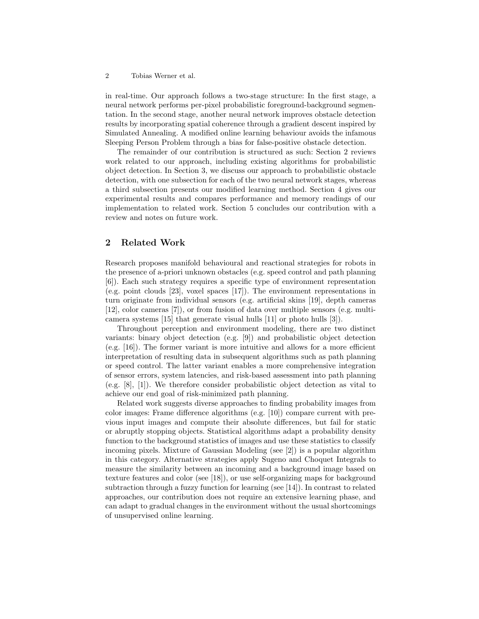#### 2 Tobias Werner et al.

in real-time. Our approach follows a two-stage structure: In the first stage, a neural network performs per-pixel probabilistic foreground-background segmentation. In the second stage, another neural network improves obstacle detection results by incorporating spatial coherence through a gradient descent inspired by Simulated Annealing. A modified online learning behaviour avoids the infamous Sleeping Person Problem through a bias for false-positive obstacle detection.

The remainder of our contribution is structured as such: Section 2 reviews work related to our approach, including existing algorithms for probabilistic object detection. In Section 3, we discuss our approach to probabilistic obstacle detection, with one subsection for each of the two neural network stages, whereas a third subsection presents our modified learning method. Section 4 gives our experimental results and compares performance and memory readings of our implementation to related work. Section 5 concludes our contribution with a review and notes on future work.

# 2 Related Work

Research proposes manifold behavioural and reactional strategies for robots in the presence of a-priori unknown obstacles (e.g. speed control and path planning [6]). Each such strategy requires a specific type of environment representation (e.g. point clouds [23], voxel spaces [17]). The environment representations in turn originate from individual sensors (e.g. artificial skins [19], depth cameras [12], color cameras [7]), or from fusion of data over multiple sensors (e.g. multicamera systems [15] that generate visual hulls [11] or photo hulls [3]).

Throughout perception and environment modeling, there are two distinct variants: binary object detection (e.g. [9]) and probabilistic object detection (e.g. [16]). The former variant is more intuitive and allows for a more efficient interpretation of resulting data in subsequent algorithms such as path planning or speed control. The latter variant enables a more comprehensive integration of sensor errors, system latencies, and risk-based assessment into path planning (e.g. [8], [1]). We therefore consider probabilistic object detection as vital to achieve our end goal of risk-minimized path planning.

Related work suggests diverse approaches to finding probability images from color images: Frame difference algorithms (e.g. [10]) compare current with previous input images and compute their absolute differences, but fail for static or abruptly stopping objects. Statistical algorithms adapt a probability density function to the background statistics of images and use these statistics to classify incoming pixels. Mixture of Gaussian Modeling (see [2]) is a popular algorithm in this category. Alternative strategies apply Sugeno and Choquet Integrals to measure the similarity between an incoming and a background image based on texture features and color (see [18]), or use self-organizing maps for background subtraction through a fuzzy function for learning (see [14]). In contrast to related approaches, our contribution does not require an extensive learning phase, and can adapt to gradual changes in the environment without the usual shortcomings of unsupervised online learning.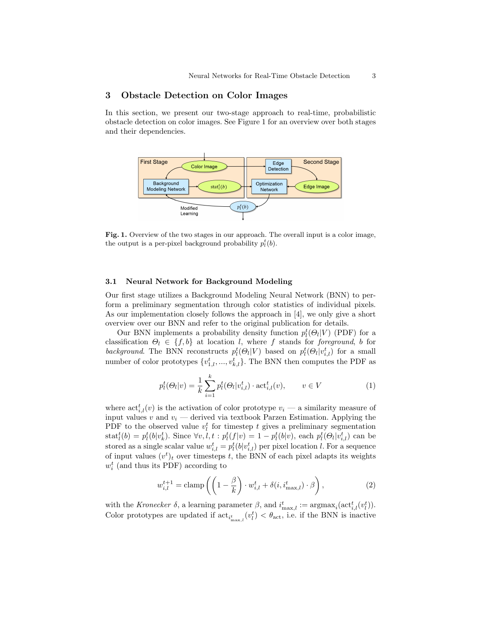## 3 Obstacle Detection on Color Images

In this section, we present our two-stage approach to real-time, probabilistic obstacle detection on color images. See Figure 1 for an overview over both stages and their dependencies.



Fig. 1. Overview of the two stages in our approach. The overall input is a color image, the output is a per-pixel background probability  $p_l^t(b)$ .

#### 3.1 Neural Network for Background Modeling

Our first stage utilizes a Background Modeling Neural Network (BNN) to perform a preliminary segmentation through color statistics of individual pixels. As our implementation closely follows the approach in [4], we only give a short overview over our BNN and refer to the original publication for details.

Our BNN implements a probability density function  $p_l^t(\Theta_l|V)$  (PDF) for a classification  $\Theta_l \in \{f, b\}$  at location l, where f stands for foreground, b for background. The BNN reconstructs  $p_l^t(\Theta_l|V)$  based on  $p_l^t(\Theta_l|v_{i,l}^t)$  for a small number of color prototypes  $\{v_{1,l}^t, ..., v_{k,l}^t\}$ . The BNN then computes the PDF as

$$
p_l^t(\Theta_l|v) = \frac{1}{k} \sum_{i=1}^k p_l^t(\Theta_l|v_{i,l}^t) \cdot \text{act}_{i,l}^t(v), \qquad v \in V
$$
 (1)

where  $\text{act}_{i,l}^t(v)$  is the activation of color prototype  $v_i$  — a similarity measure of input values v and  $v_i$  — derived via textbook Parzen Estimation. Applying the PDF to the observed value  $v_l^t$  for timestep t gives a preliminary segmentation  $\text{stat}_l^t(b) = p_l^t(b|v_k^t)$ . Since  $\forall v, l, t : p_l^t(f|v) = 1 - p_l^t(b|v)$ , each  $p_l^t(\Theta_l|v_{i,l}^t)$  can be stored as a single scalar value  $w_{i,l}^t = p_l^t(b|v_{i,l}^t)$  per pixel location l. For a sequence of input values  $(v<sup>t</sup>)<sub>t</sub>$  over timesteps t, the BNN of each pixel adapts its weights  $w_i^t$  (and thus its PDF) according to

$$
w_{i,l}^{t+1} = \text{clamp}\left(\left(1 - \frac{\beta}{k}\right) \cdot w_{i,l}^t + \delta(i, i_{\text{max},l}^t) \cdot \beta\right),\tag{2}
$$

with the Kronecker  $\delta$ , a learning parameter  $\beta$ , and  $i_{\max,l}^t := \text{argmax}_i(\text{act}_{i,l}^t(v_l^t)).$ Color prototypes are updated if  $\text{act}_{i_{\max,l}^t}(v_l^t) < \theta_{\text{act}}$ , i.e. if the BNN is inactive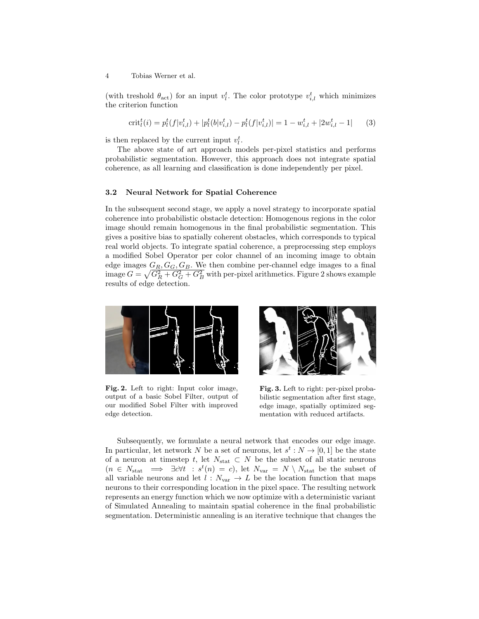4 Tobias Werner et al.

(with treshold  $\theta_{\text{act}}$ ) for an input  $v_l^t$ . The color prototype  $v_{i,l}^t$  which minimizes the criterion function

$$
\operatorname{crit}_{l}^{t}(i) = p_{l}^{t}(f|v_{i,l}^{t}) + |p_{l}^{t}(b|v_{i,l}^{t}) - p_{l}^{t}(f|v_{i,l}^{t})| = 1 - w_{i,l}^{t} + |2w_{i,l}^{t} - 1| \qquad (3)
$$

is then replaced by the current input  $v_l^t$ .

The above state of art approach models per-pixel statistics and performs probabilistic segmentation. However, this approach does not integrate spatial coherence, as all learning and classification is done independently per pixel.

#### 3.2 Neural Network for Spatial Coherence

In the subsequent second stage, we apply a novel strategy to incorporate spatial coherence into probabilistic obstacle detection: Homogenous regions in the color image should remain homogenous in the final probabilistic segmentation. This gives a positive bias to spatially coherent obstacles, which corresponds to typical real world objects. To integrate spatial coherence, a preprocessing step employs a modified Sobel Operator per color channel of an incoming image to obtain edge images  $G_R, G_G, G_B$ . We then combine per-channel edge images to a final image  $G = \sqrt{G_R^2 + G_G^2 + G_B^2}$  with per-pixel arithmetics. Figure 2 shows example results of edge detection.



Fig. 2. Left to right: Input color image, output of a basic Sobel Filter, output of our modified Sobel Filter with improved edge detection.



Fig. 3. Left to right: per-pixel probabilistic segmentation after first stage, edge image, spatially optimized segmentation with reduced artifacts.

Subsequently, we formulate a neural network that encodes our edge image. In particular, let network N be a set of neurons, let  $s^t : N \to [0,1]$  be the state of a neuron at timestep t, let  $N_{\text{stat}} \subset N$  be the subset of all static neurons  $(n \in N_{\text{stat}} \implies \exists c \forall t : s^t(n) = c)$ , let  $N_{\text{var}} = N \setminus N_{\text{stat}}$  be the subset of all variable neurons and let  $\hat{l}$  :  $N_{\text{var}} \to L$  be the location function that maps neurons to their corresponding location in the pixel space. The resulting network represents an energy function which we now optimize with a deterministic variant of Simulated Annealing to maintain spatial coherence in the final probabilistic segmentation. Deterministic annealing is an iterative technique that changes the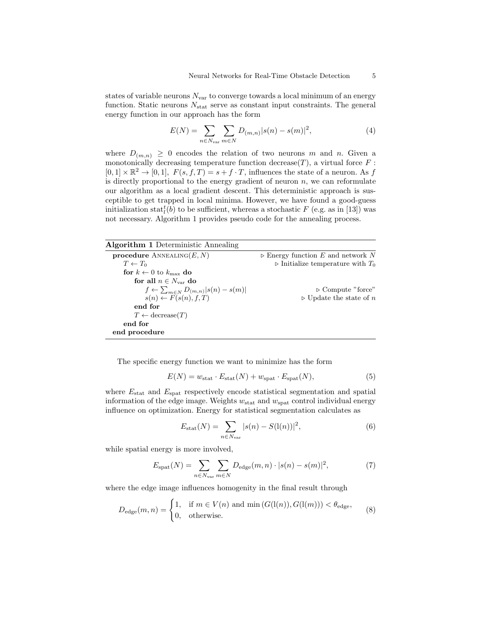states of variable neurons  $N_{\text{var}}$  to converge towards a local minimum of an energy function. Static neurons  $N_{\text{stat}}$  serve as constant input constraints. The general energy function in our approach has the form

$$
E(N) = \sum_{n \in N_{\text{var}}}\sum_{m \in N} D_{(m,n)}|s(n) - s(m)|^2,
$$
 (4)

where  $D_{(m,n)} \geq 0$  encodes the relation of two neurons m and n. Given a monotonically decreasing temperature function decrease $(T)$ , a virtual force  $F$ :  $[0,1] \times \mathbb{R}^2 \to [0,1],$   $F(s, f, T) = s + f \cdot T$ , influences the state of a neuron. As f is directly proportional to the energy gradient of neuron  $n$ , we can reformulate our algorithm as a local gradient descent. This deterministic approach is susceptible to get trapped in local minima. However, we have found a good-guess initialization stat $_{l}^{t}(b)$  to be sufficient, whereas a stochastic  $F$  (e.g. as in [13]) was not necessary. Algorithm 1 provides pseudo code for the annealing process.

| <b>Algorithm 1</b> Deterministic Annealing            |                                                    |
|-------------------------------------------------------|----------------------------------------------------|
| <b>procedure</b> ANNEALING $(E, N)$                   | $\triangleright$ Energy function E and network N   |
| $T \leftarrow T_0$                                    | $\triangleright$ Initialize temperature with $T_0$ |
| for $k \leftarrow 0$ to $k_{\text{max}}$ do           |                                                    |
| for all $n \in N_{var}$ do                            |                                                    |
| $f \leftarrow \sum_{m \in N} D_{(m,n)}  s(n) - s(m) $ | $\triangleright$ Compute "force"                   |
| $s(n) \leftarrow F(s(n), f, T)$                       | $\triangleright$ Update the state of n             |
| end for                                               |                                                    |
| $T \leftarrow \text{decrease}(T)$                     |                                                    |
| end for                                               |                                                    |
| end procedure                                         |                                                    |

The specific energy function we want to minimize has the form

$$
E(N) = w_{\text{stat}} \cdot E_{\text{stat}}(N) + w_{\text{spat}} \cdot E_{\text{spat}}(N), \tag{5}
$$

where  $E_{\text{stat}}$  and  $E_{\text{spat}}$  respectively encode statistical segmentation and spatial information of the edge image. Weights  $w_{\text{stat}}$  and  $w_{\text{spat}}$  control individual energy influence on optimization. Energy for statistical segmentation calculates as

$$
E_{\text{stat}}(N) = \sum_{n \in N_{\text{var}}} |s(n) - S(1(n))|^2,
$$
\n(6)

while spatial energy is more involved,

$$
E_{\rm spat}(N) = \sum_{n \in N_{\rm var}} \sum_{m \in N} D_{\rm edge}(m, n) \cdot |s(n) - s(m)|^2,
$$
 (7)

where the edge image influences homogenity in the final result through

$$
D_{\text{edge}}(m, n) = \begin{cases} 1, & \text{if } m \in V(n) \text{ and } \min\left(G(\text{l}(n)), G(\text{l}(m))\right) < \theta_{\text{edge}},\\ 0, & \text{otherwise.} \end{cases} \tag{8}
$$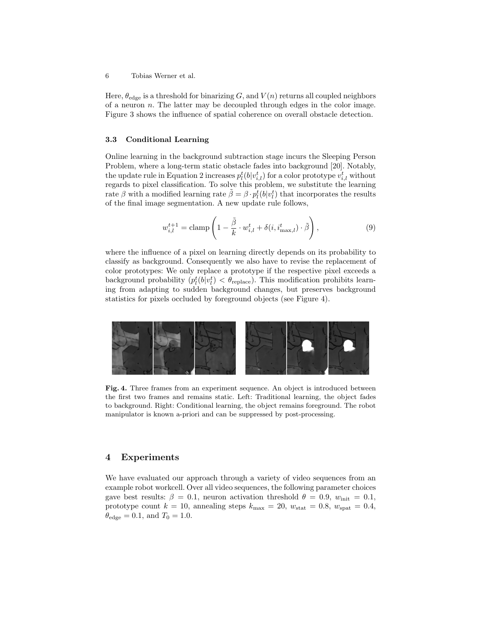Here,  $\theta_{\text{edge}}$  is a threshold for binarizing G, and  $V(n)$  returns all coupled neighbors of a neuron  $n$ . The latter may be decoupled through edges in the color image. Figure 3 shows the influence of spatial coherence on overall obstacle detection.

#### 3.3 Conditional Learning

Online learning in the background subtraction stage incurs the Sleeping Person Problem, where a long-term static obstacle fades into background [20]. Notably, the update rule in Equation 2 increases  $p_l^t(b|v_{i,l}^t)$  for a color prototype  $v_{i,l}^t$  without regards to pixel classification. To solve this problem, we substitute the learning rate  $\beta$  with a modified learning rate  $\tilde{\beta} = \beta \cdot p_l^t(b|v_l^t)$  that incorporates the results of the final image segmentation. A new update rule follows,

$$
w_{i,l}^{t+1} = \text{clamp}\left(1 - \frac{\tilde{\beta}}{k} \cdot w_{i,l}^t + \delta(i, i_{\text{max},l}^t) \cdot \tilde{\beta}\right),\tag{9}
$$

where the influence of a pixel on learning directly depends on its probability to classify as background. Consequently we also have to revise the replacement of color prototypes: We only replace a prototype if the respective pixel exceeds a background probability  $(p_l^t(b|v_l^t) < \theta_{\text{replace}})$ . This modification prohibits learning from adapting to sudden background changes, but preserves background statistics for pixels occluded by foreground objects (see Figure 4).



Fig. 4. Three frames from an experiment sequence. An object is introduced between the first two frames and remains static. Left: Traditional learning, the object fades to background. Right: Conditional learning, the object remains foreground. The robot manipulator is known a-priori and can be suppressed by post-processing.

## 4 Experiments

We have evaluated our approach through a variety of video sequences from an example robot workcell. Over all video sequences, the following parameter choices gave best results:  $\beta = 0.1$ , neuron activation threshold  $\theta = 0.9$ ,  $w_{\text{init}} = 0.1$ , prototype count  $k = 10$ , annealing steps  $k_{\text{max}} = 20$ ,  $w_{\text{stat}} = 0.8$ ,  $w_{\text{spat}} = 0.4$ ,  $\theta_{\text{edge}} = 0.1$ , and  $T_0 = 1.0$ .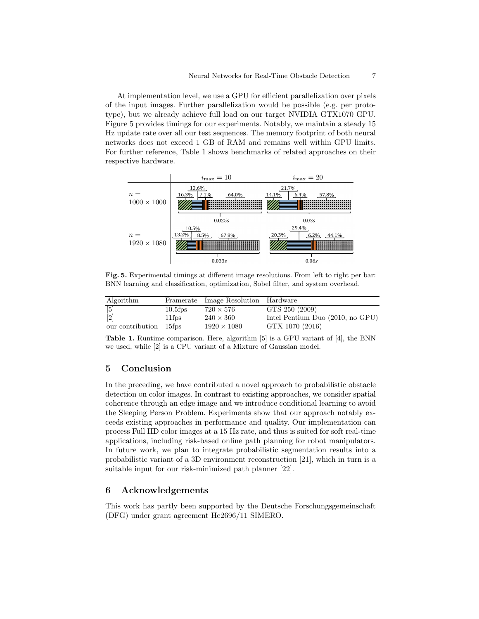At implementation level, we use a GPU for efficient parallelization over pixels of the input images. Further parallelization would be possible (e.g. per prototype), but we already achieve full load on our target NVIDIA GTX1070 GPU. Figure 5 provides timings for our experiments. Notably, we maintain a steady 15 Hz update rate over all our test sequences. The memory footprint of both neural networks does not exceed 1 GB of RAM and remains well within GPU limits. For further reference, Table 1 shows benchmarks of related approaches on their respective hardware.



Fig. 5. Experimental timings at different image resolutions. From left to right per bar: BNN learning and classification, optimization, Sobel filter, and system overhead.

| Algorithm              |            | Framerate Image Resolution Hardware |                                    |
|------------------------|------------|-------------------------------------|------------------------------------|
| $\lceil 5 \rceil$      | $10.5$ fps | $720 \times 576$                    | GTS 250 (2009)                     |
| $\left[2\right]$       | 11fps      | $240 \times 360$                    | Intel Pentium Duo $(2010, no GPU)$ |
| our contribution 15fps |            | $1920 \times 1080$                  | GTX 1070 (2016)                    |

Table 1. Runtime comparison. Here, algorithm [5] is a GPU variant of [4], the BNN we used, while [2] is a CPU variant of a Mixture of Gaussian model.

## 5 Conclusion

In the preceding, we have contributed a novel approach to probabilistic obstacle detection on color images. In contrast to existing approaches, we consider spatial coherence through an edge image and we introduce conditional learning to avoid the Sleeping Person Problem. Experiments show that our approach notably exceeds existing approaches in performance and quality. Our implementation can process Full HD color images at a 15 Hz rate, and thus is suited for soft real-time applications, including risk-based online path planning for robot manipulators. In future work, we plan to integrate probabilistic segmentation results into a probabilistic variant of a 3D environment reconstruction [21], which in turn is a suitable input for our risk-minimized path planner [22].

# 6 Acknowledgements

This work has partly been supported by the Deutsche Forschungsgemeinschaft (DFG) under grant agreement He2696/11 SIMERO.